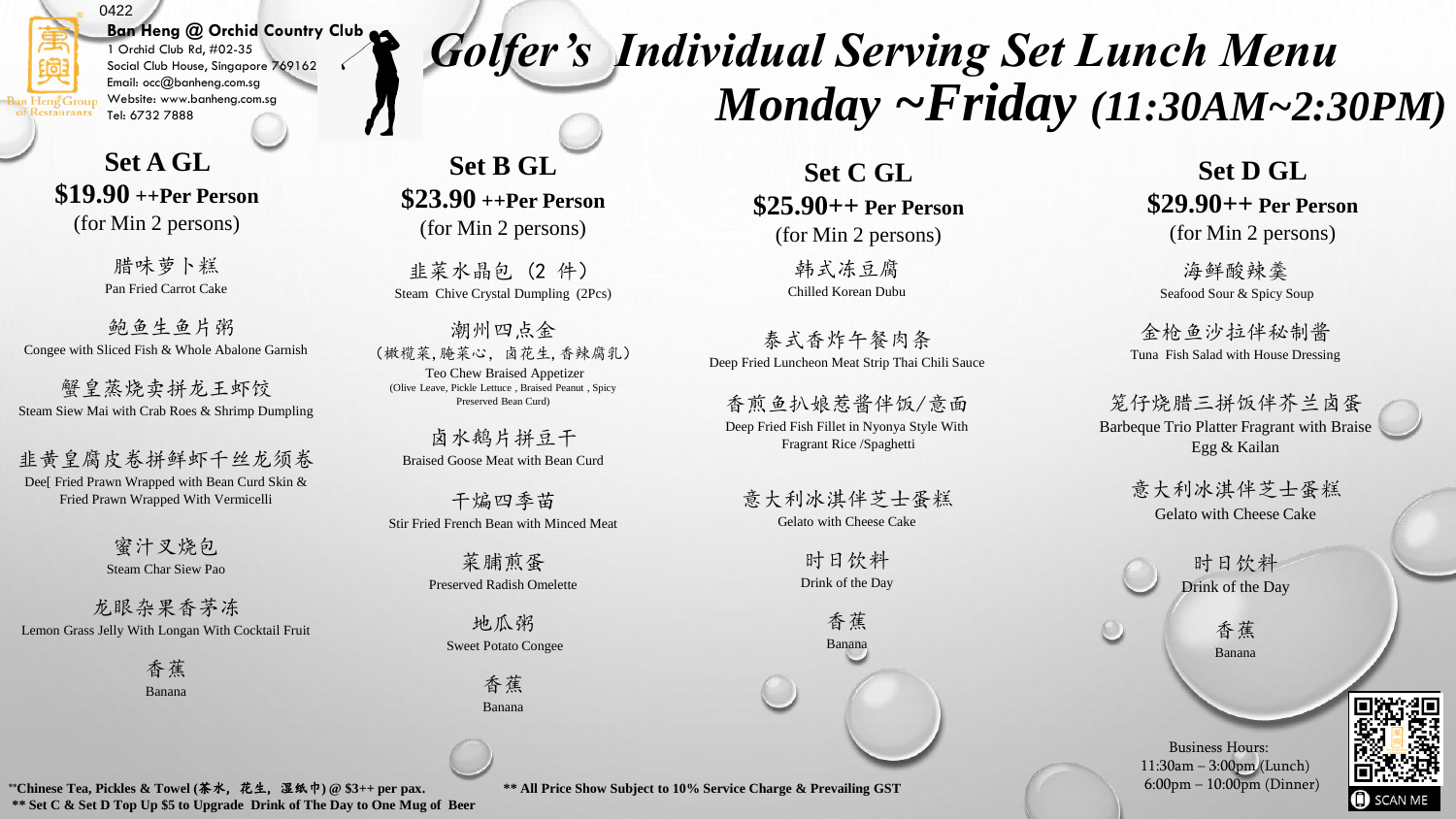### 0422

#### **Ban Heng @ Orchid Country Club**  1 Orchid Club Rd, #02-35

Social Club House, Singapore 769162 Email: occ@banheng.com.sg Website: www.banheng.com.sg Tel: 6732 7888

**Set A GL \$19.90 ++Per Person**  (for Min 2 persons)

> 腊味萝卜糕 Pan Fried Carrot Cake

鲍鱼生鱼片粥 Congee with Sliced Fish & Whole Abalone Garnish

蟹皇蒸烧卖拼龙王虾饺 Steam Siew Mai with Crab Roes & Shrimp Dumpling

韭黄皇腐皮卷拼鲜虾千丝龙须卷 Dee[ Fried Prawn Wrapped with Bean Curd Skin & Fried Prawn Wrapped With Vermicelli

> 蜜汁叉烧包 Steam Char Siew Pao

龙眼杂果香茅冻 Lemon Grass Jelly With Longan With Cocktail Fruit

> 香蕉 Banana

**Set B GL \$23.90 ++Per Person**  (for Min 2 persons)

韭菜水晶包 (2 件) Steam Chive Crystal Dumpling (2Pcs)

潮州四点金 (橄榄菜,腌菜心,卤花生,香辣腐乳) Teo Chew Braised Appetizer (Olive Leave, Pickle Lettuce , Braised Peanut , Spicy Preserved Bean Curd)

卤水鹅片拼豆干 Braised Goose Meat with Bean Curd

干煸四季苗 Stir Fried French Bean with Minced Meat

> 菜脯煎蛋 Preserved Radish Omelette

地瓜粥 Sweet Potato Congee

> 香蕉 Banana

**Set C GL \$25.90++ Per Person** 

*Golfer's Individual Serving Set Lunch Menu* 

(for Min 2 persons)

韩式冻豆腐 Chilled Korean Dubu

泰式香炸午餐肉条 Deep Fried Luncheon Meat Strip Thai Chili Sauce

香煎鱼扒娘惹酱伴饭/意面 Deep Fried Fish Fillet in Nyonya Style With Fragrant Rice /Spaghetti

意大利冰淇伴芝士蛋糕 Gelato with Cheese Cake

> 时日饮料 Drink of the Day

> > 香蕉 Banana

**Set D GL \$29.90++ Per Person**  (for Min 2 persons)

*Monday ~Friday (11:30AM~2:30PM)*

海鲜酸辣羹 Seafood Sour & Spicy Soup

金枪鱼沙拉伴秘制酱 Tuna Fish Salad with House Dressing

笼仔烧腊三拼饭伴芥兰卤蛋 Barbeque Trio Platter Fragrant with Braise Egg & Kailan

> 意大利冰淇伴芝士蛋糕 Gelato with Cheese Cake

> > 时日饮料 Drink of the Day

> > > 香蕉 Banana

Business Hours: 11:30am – 3:00pm (Lunch)

6:00pm – 10:00pm (Dinner)

\*\***Chinese Tea, Pickles & Towel (**茶水, 花生, 湿纸巾**) @ \$3++ per pax. \*\* All Price Show Subject to 10% Service Charge & Prevailing GST \*\* Set C & Set D Top Up \$5 to Upgrade Drink of The Day to One Mug of Beer**